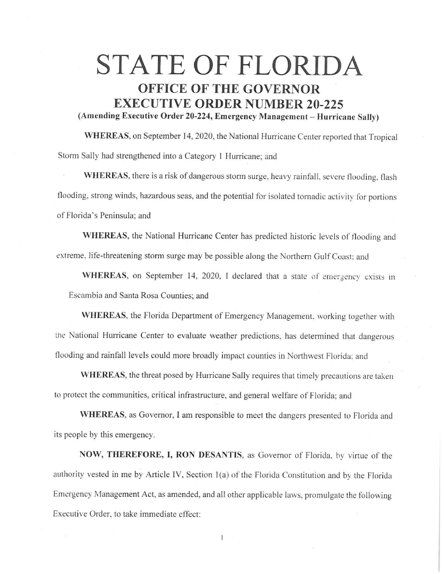## **STATE OF FLORIDA OFFICE OF THE GOVERNOR EXECUTIVE ORDER NUMBER 20-225**

**(Amending Executive Order 20-224, Emergency Management - Hurricane Sally)** 

**WHEREAS,** on September 14, 2020, the National Hurricane Center reported that Tropical Storm Sally had strengthened into a Category I Hurricane; and

**WHEREAS,** there is a risk of dangerous storm surge. heavy rainfall, severe flooding, flash flooding, strong winds, hazardous seas, and the potential for isolated tornadic activity for portions of Florida's Peninsula; and

**WHEREAS,** the National Hurricane Center has predicted historic levels of flooding and extreme, life-threatening storm surge may be possible along the Northern Gulf Coast: and

WHEREAS, on September 14, 2020, I declared that a state of emergency exists in Escambia and Santa Rosa Counties; and

**WHEREAS,** the Florida Department of Emergency Management. working together with the National Hurricane Center to evaluate weather predictions, has determined that dangerous flooding and rainfall levels could more broadly impact counties in Northwest Florida: and

WHEREAS, the threat posed by Hurricane Sally requires that timely precautions are taken to protect the communities, critical infrastructure, and general welfare of Florida; and

**WHEREAS,** as Governor, I am responsible to meet the dangers presented to Florida and its people by this emergency.

**NOW, THEREFORE, I, RON DESANTIS,** as Governor of Florida. by virtue of the authority vested in me by Article IV, Section 1(a) of the Florida Constitution and by the Florida Emergency Management Act, as amended, and all other applicable laws, promulgate the following Executive Order, to take immediate effect: